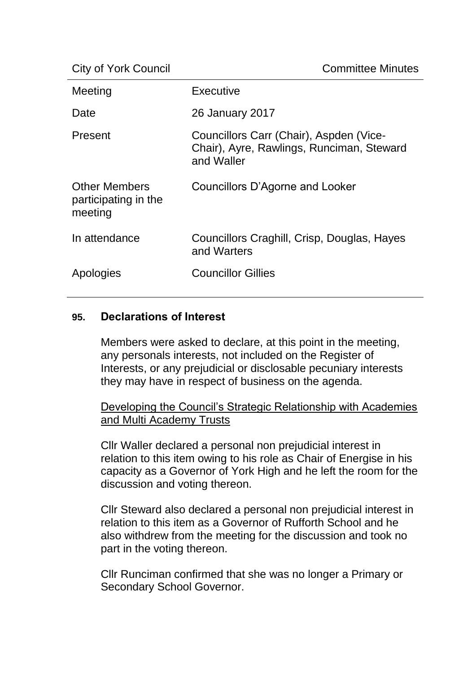| Meeting                                                 | Executive                                                                                          |
|---------------------------------------------------------|----------------------------------------------------------------------------------------------------|
| Date                                                    | <b>26 January 2017</b>                                                                             |
| Present                                                 | Councillors Carr (Chair), Aspden (Vice-<br>Chair), Ayre, Rawlings, Runciman, Steward<br>and Waller |
| <b>Other Members</b><br>participating in the<br>meeting | Councillors D'Agorne and Looker                                                                    |
| In attendance                                           | Councillors Craghill, Crisp, Douglas, Hayes<br>and Warters                                         |
| Apologies                                               | <b>Councillor Gillies</b>                                                                          |

### **95. Declarations of Interest**

Members were asked to declare, at this point in the meeting, any personals interests, not included on the Register of Interests, or any prejudicial or disclosable pecuniary interests they may have in respect of business on the agenda.

Developing the Council's Strategic Relationship with Academies and Multi Academy Trusts

Cllr Waller declared a personal non prejudicial interest in relation to this item owing to his role as Chair of Energise in his capacity as a Governor of York High and he left the room for the discussion and voting thereon.

Cllr Steward also declared a personal non prejudicial interest in relation to this item as a Governor of Rufforth School and he also withdrew from the meeting for the discussion and took no part in the voting thereon.

Cllr Runciman confirmed that she was no longer a Primary or Secondary School Governor.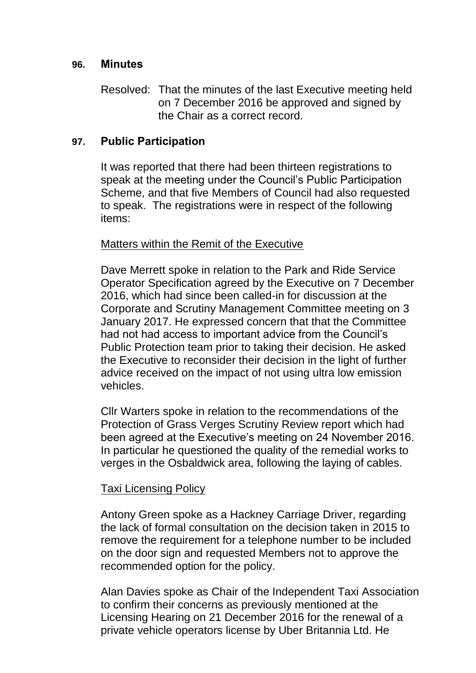### **96. Minutes**

Resolved: That the minutes of the last Executive meeting held on 7 December 2016 be approved and signed by the Chair as a correct record.

### **97. Public Participation**

It was reported that there had been thirteen registrations to speak at the meeting under the Council's Public Participation Scheme, and that five Members of Council had also requested to speak. The registrations were in respect of the following items:

### Matters within the Remit of the Executive

Dave Merrett spoke in relation to the Park and Ride Service Operator Specification agreed by the Executive on 7 December 2016, which had since been called-in for discussion at the Corporate and Scrutiny Management Committee meeting on 3 January 2017. He expressed concern that that the Committee had not had access to important advice from the Council's Public Protection team prior to taking their decision. He asked the Executive to reconsider their decision in the light of further advice received on the impact of not using ultra low emission vehicles.

Cllr Warters spoke in relation to the recommendations of the Protection of Grass Verges Scrutiny Review report which had been agreed at the Executive's meeting on 24 November 2016. In particular he questioned the quality of the remedial works to verges in the Osbaldwick area, following the laying of cables.

### Taxi Licensing Policy

Antony Green spoke as a Hackney Carriage Driver, regarding the lack of formal consultation on the decision taken in 2015 to remove the requirement for a telephone number to be included on the door sign and requested Members not to approve the recommended option for the policy.

Alan Davies spoke as Chair of the Independent Taxi Association to confirm their concerns as previously mentioned at the Licensing Hearing on 21 December 2016 for the renewal of a private vehicle operators license by Uber Britannia Ltd. He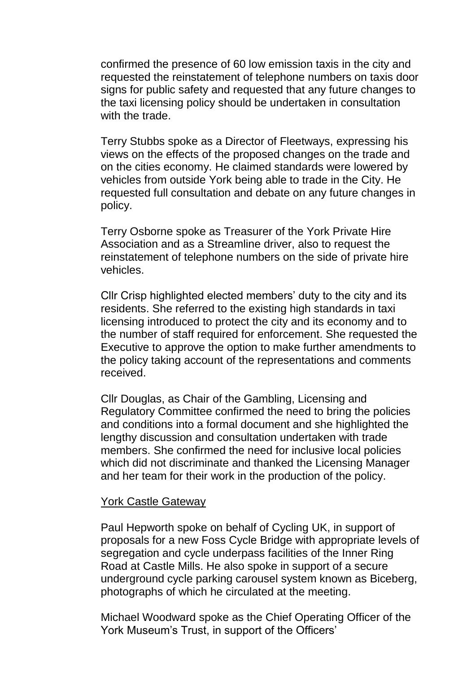confirmed the presence of 60 low emission taxis in the city and requested the reinstatement of telephone numbers on taxis door signs for public safety and requested that any future changes to the taxi licensing policy should be undertaken in consultation with the trade.

Terry Stubbs spoke as a Director of Fleetways, expressing his views on the effects of the proposed changes on the trade and on the cities economy. He claimed standards were lowered by vehicles from outside York being able to trade in the City. He requested full consultation and debate on any future changes in policy.

Terry Osborne spoke as Treasurer of the York Private Hire Association and as a Streamline driver, also to request the reinstatement of telephone numbers on the side of private hire vehicles.

Cllr Crisp highlighted elected members' duty to the city and its residents. She referred to the existing high standards in taxi licensing introduced to protect the city and its economy and to the number of staff required for enforcement. She requested the Executive to approve the option to make further amendments to the policy taking account of the representations and comments received.

Cllr Douglas, as Chair of the Gambling, Licensing and Regulatory Committee confirmed the need to bring the policies and conditions into a formal document and she highlighted the lengthy discussion and consultation undertaken with trade members. She confirmed the need for inclusive local policies which did not discriminate and thanked the Licensing Manager and her team for their work in the production of the policy.

#### York Castle Gateway

Paul Hepworth spoke on behalf of Cycling UK, in support of proposals for a new Foss Cycle Bridge with appropriate levels of segregation and cycle underpass facilities of the Inner Ring Road at Castle Mills. He also spoke in support of a secure underground cycle parking carousel system known as Biceberg, photographs of which he circulated at the meeting.

Michael Woodward spoke as the Chief Operating Officer of the York Museum's Trust, in support of the Officers'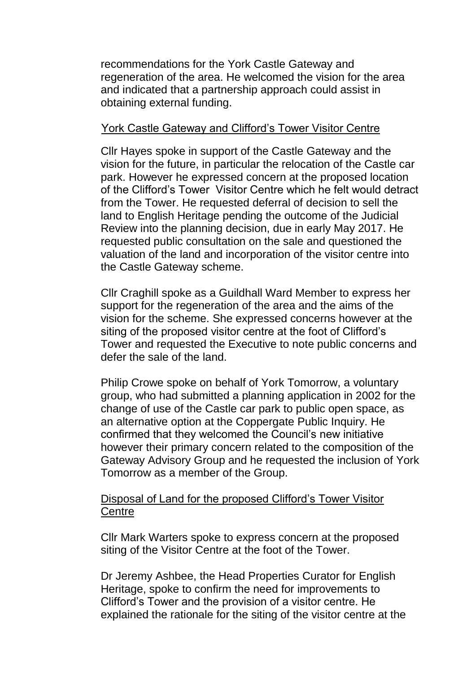recommendations for the York Castle Gateway and regeneration of the area. He welcomed the vision for the area and indicated that a partnership approach could assist in obtaining external funding.

### York Castle Gateway and Clifford's Tower Visitor Centre

Cllr Hayes spoke in support of the Castle Gateway and the vision for the future, in particular the relocation of the Castle car park. However he expressed concern at the proposed location of the Clifford's Tower Visitor Centre which he felt would detract from the Tower. He requested deferral of decision to sell the land to English Heritage pending the outcome of the Judicial Review into the planning decision, due in early May 2017. He requested public consultation on the sale and questioned the valuation of the land and incorporation of the visitor centre into the Castle Gateway scheme.

Cllr Craghill spoke as a Guildhall Ward Member to express her support for the regeneration of the area and the aims of the vision for the scheme. She expressed concerns however at the siting of the proposed visitor centre at the foot of Clifford's Tower and requested the Executive to note public concerns and defer the sale of the land.

Philip Crowe spoke on behalf of York Tomorrow, a voluntary group, who had submitted a planning application in 2002 for the change of use of the Castle car park to public open space, as an alternative option at the Coppergate Public Inquiry. He confirmed that they welcomed the Council's new initiative however their primary concern related to the composition of the Gateway Advisory Group and he requested the inclusion of York Tomorrow as a member of the Group.

### Disposal of Land for the proposed Clifford's Tower Visitor **Centre**

Cllr Mark Warters spoke to express concern at the proposed siting of the Visitor Centre at the foot of the Tower.

Dr Jeremy Ashbee, the Head Properties Curator for English Heritage, spoke to confirm the need for improvements to Clifford's Tower and the provision of a visitor centre. He explained the rationale for the siting of the visitor centre at the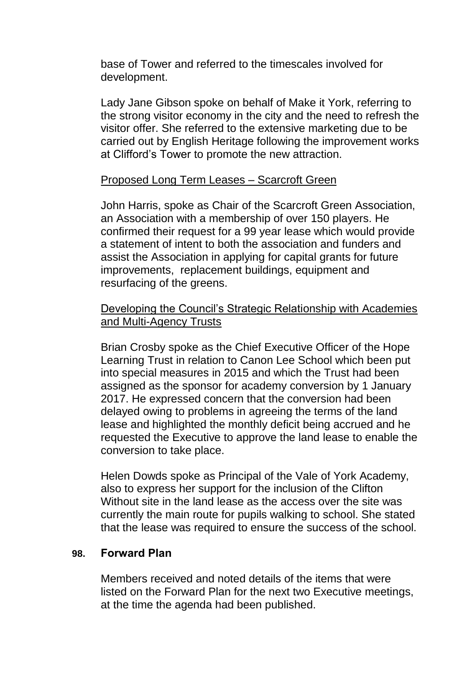base of Tower and referred to the timescales involved for development.

Lady Jane Gibson spoke on behalf of Make it York, referring to the strong visitor economy in the city and the need to refresh the visitor offer. She referred to the extensive marketing due to be carried out by English Heritage following the improvement works at Clifford's Tower to promote the new attraction.

# Proposed Long Term Leases – Scarcroft Green

John Harris, spoke as Chair of the Scarcroft Green Association, an Association with a membership of over 150 players. He confirmed their request for a 99 year lease which would provide a statement of intent to both the association and funders and assist the Association in applying for capital grants for future improvements, replacement buildings, equipment and resurfacing of the greens.

# Developing the Council's Strategic Relationship with Academies and Multi-Agency Trusts

Brian Crosby spoke as the Chief Executive Officer of the Hope Learning Trust in relation to Canon Lee School which been put into special measures in 2015 and which the Trust had been assigned as the sponsor for academy conversion by 1 January 2017. He expressed concern that the conversion had been delayed owing to problems in agreeing the terms of the land lease and highlighted the monthly deficit being accrued and he requested the Executive to approve the land lease to enable the conversion to take place.

Helen Dowds spoke as Principal of the Vale of York Academy, also to express her support for the inclusion of the Clifton Without site in the land lease as the access over the site was currently the main route for pupils walking to school. She stated that the lease was required to ensure the success of the school.

# **98. Forward Plan**

Members received and noted details of the items that were listed on the Forward Plan for the next two Executive meetings, at the time the agenda had been published.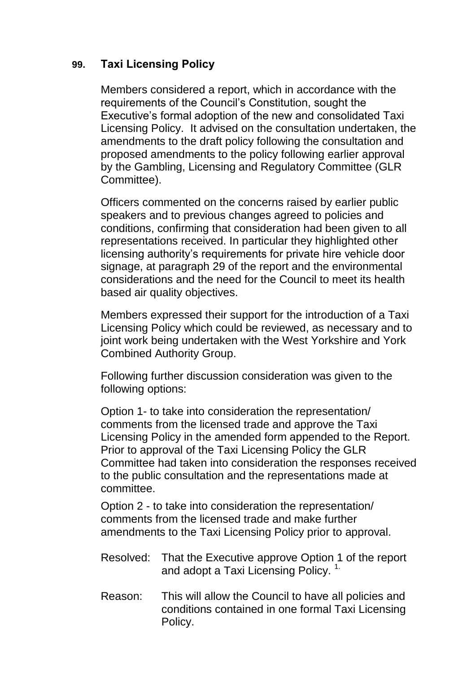# **99. Taxi Licensing Policy**

Members considered a report, which in accordance with the requirements of the Council's Constitution, sought the Executive's formal adoption of the new and consolidated Taxi Licensing Policy. It advised on the consultation undertaken, the amendments to the draft policy following the consultation and proposed amendments to the policy following earlier approval by the Gambling, Licensing and Regulatory Committee (GLR Committee).

Officers commented on the concerns raised by earlier public speakers and to previous changes agreed to policies and conditions, confirming that consideration had been given to all representations received. In particular they highlighted other licensing authority's requirements for private hire vehicle door signage, at paragraph 29 of the report and the environmental considerations and the need for the Council to meet its health based air quality objectives.

Members expressed their support for the introduction of a Taxi Licensing Policy which could be reviewed, as necessary and to joint work being undertaken with the West Yorkshire and York Combined Authority Group.

Following further discussion consideration was given to the following options:

Option 1- to take into consideration the representation/ comments from the licensed trade and approve the Taxi Licensing Policy in the amended form appended to the Report. Prior to approval of the Taxi Licensing Policy the GLR Committee had taken into consideration the responses received to the public consultation and the representations made at committee.

Option 2 - to take into consideration the representation/ comments from the licensed trade and make further amendments to the Taxi Licensing Policy prior to approval.

- Resolved: That the Executive approve Option 1 of the report and adopt a Taxi Licensing Policy.<sup>1.</sup>
- Reason: This will allow the Council to have all policies and conditions contained in one formal Taxi Licensing Policy.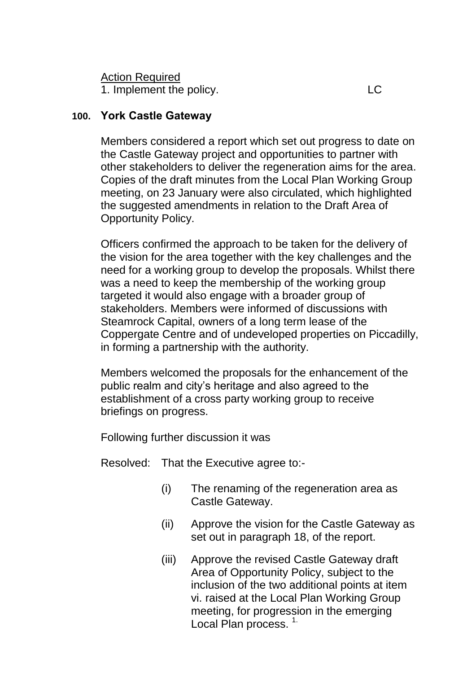1. Implement the policy. LC

# **100. York Castle Gateway**

Members considered a report which set out progress to date on the Castle Gateway project and opportunities to partner with other stakeholders to deliver the regeneration aims for the area. Copies of the draft minutes from the Local Plan Working Group meeting, on 23 January were also circulated, which highlighted the suggested amendments in relation to the Draft Area of Opportunity Policy.

Officers confirmed the approach to be taken for the delivery of the vision for the area together with the key challenges and the need for a working group to develop the proposals. Whilst there was a need to keep the membership of the working group targeted it would also engage with a broader group of stakeholders. Members were informed of discussions with Steamrock Capital, owners of a long term lease of the Coppergate Centre and of undeveloped properties on Piccadilly, in forming a partnership with the authority.

Members welcomed the proposals for the enhancement of the public realm and city's heritage and also agreed to the establishment of a cross party working group to receive briefings on progress.

Following further discussion it was

Resolved: That the Executive agree to:-

- (i) The renaming of the regeneration area as Castle Gateway.
- (ii) Approve the vision for the Castle Gateway as set out in paragraph 18, of the report.
- (iii) Approve the revised Castle Gateway draft Area of Opportunity Policy, subject to the inclusion of the two additional points at item vi. raised at the Local Plan Working Group meeting, for progression in the emerging Local Plan process.<sup>1.</sup>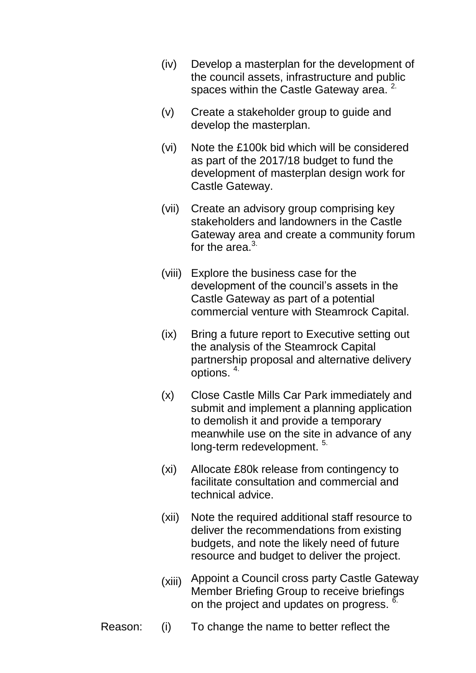- (iv) Develop a masterplan for the development of the council assets, infrastructure and public spaces within the Castle Gateway area. <sup>2.</sup>
- (v) Create a stakeholder group to guide and develop the masterplan.
- (vi) Note the £100k bid which will be considered as part of the 2017/18 budget to fund the development of masterplan design work for Castle Gateway.
- (vii) Create an advisory group [comprising key](http://modgov.york.gov.uk/mgActionDisplay.aspx?ID=91224&RPID=13132101&$LO$=1)  [stakeholders and landowners in the Castle](http://modgov.york.gov.uk/mgActionDisplay.aspx?ID=91224&RPID=13132101&$LO$=1)  [Gateway area](http://modgov.york.gov.uk/mgActionDisplay.aspx?ID=91224&RPID=13132101&$LO$=1) and create a community forum for the area. $3$ .
- (viii) Explore the business case for the development of the council's assets in the Castle Gateway as part of a potential commercial venture with Steamrock Capital.
- (ix) Bring a future report to Executive setting out the analysis of the Steamrock Capital partnership proposal and alternative delivery options. 4.
- (x) Close Castle Mills Car Park immediately and submit and implement a planning application to demolish it and provide a temporary meanwhile use on the site in advance of any long-term redevelopment.<sup>5.</sup>
- (xi) Allocate £80k release from contingency to facilitate consultation and commercial and technical advice.
- (xii) Note the required additional staff resource to deliver the recommendations from existing budgets, and note the likely need of future resource and budget to deliver the project.
- (xiii) Appoint a Council cross party Castle Gateway Member Briefing Group to receive briefings on the project and updates on progress. <sup>6.</sup>
- Reason: (i) To change the name to better reflect the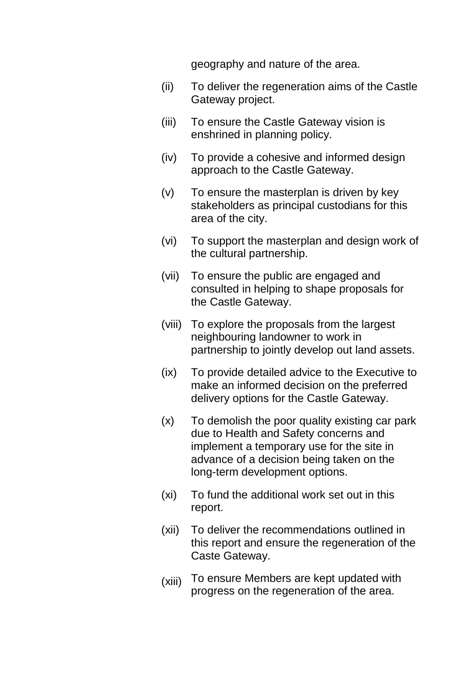geography and nature of the area.

- (ii) To deliver the regeneration aims of the Castle Gateway project.
- (iii) To ensure the Castle Gateway vision is enshrined in planning policy.
- (iv) To provide a cohesive and informed design approach to the Castle Gateway.
- (v) To ensure the masterplan is driven by key stakeholders as principal custodians for this area of the city.
- (vi) To support the masterplan and design work of the cultural partnership.
- (vii) To ensure the public are engaged and consulted in helping to shape proposals for the Castle Gateway.
- (viii) To explore the proposals from the largest neighbouring landowner to work in partnership to jointly develop out land assets.
- (ix) To provide detailed advice to the Executive to make an informed decision on the preferred delivery options for the Castle Gateway.
- (x) To demolish the poor quality existing car park due to Health and Safety concerns and implement a temporary use for the site in advance of a decision being taken on the long-term development options.
- (xi) To fund the additional work set out in this report.
- (xii) To deliver the recommendations outlined in this report and ensure the regeneration of the Caste Gateway.
- (xiii) To ensure Members are kept updated with progress on the regeneration of the area.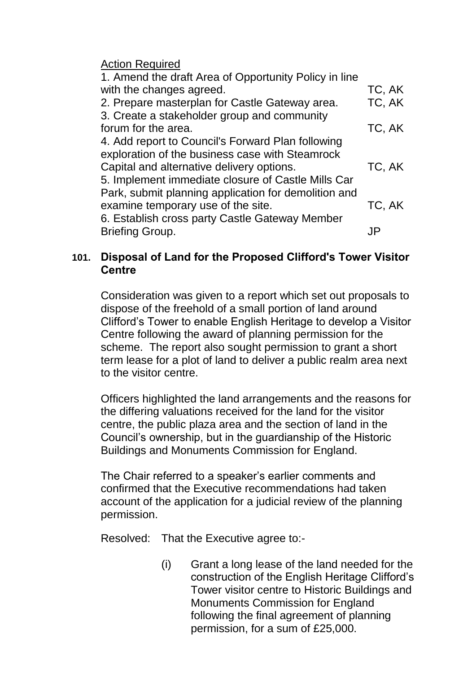| 1. Amend the draft Area of Opportunity Policy in line |        |
|-------------------------------------------------------|--------|
| with the changes agreed.                              | TC, AK |
| 2. Prepare masterplan for Castle Gateway area.        | TC, AK |
| 3. Create a stakeholder group and community           |        |
| forum for the area.                                   | TC, AK |
| 4. Add report to Council's Forward Plan following     |        |
| exploration of the business case with Steamrock       |        |
| Capital and alternative delivery options.             | TC, AK |
| 5. Implement immediate closure of Castle Mills Car    |        |
| Park, submit planning application for demolition and  |        |
| examine temporary use of the site.                    | TC, AK |
| 6. Establish cross party Castle Gateway Member        |        |
| <b>Briefing Group.</b>                                |        |
|                                                       |        |

# **101. Disposal of Land for the Proposed Clifford's Tower Visitor Centre**

Consideration was given to a report which set out proposals to dispose of the freehold of a small portion of land around Clifford's Tower to enable English Heritage to develop a Visitor Centre following the award of planning permission for the scheme. The report also sought permission to grant a short term lease for a plot of land to deliver a public realm area next to the visitor centre.

Officers highlighted the land arrangements and the reasons for the differing valuations received for the land for the visitor centre, the public plaza area and the section of land in the Council's ownership, but in the guardianship of the Historic Buildings and Monuments Commission for England.

The Chair referred to a speaker's earlier comments and confirmed that the Executive recommendations had taken account of the application for a judicial review of the planning permission.

Resolved: That the Executive agree to:-

(i) Grant a long lease of the land needed for the construction of the English Heritage Clifford's Tower visitor centre to Historic Buildings and Monuments Commission for England following the final agreement of planning permission, for a sum of £25,000.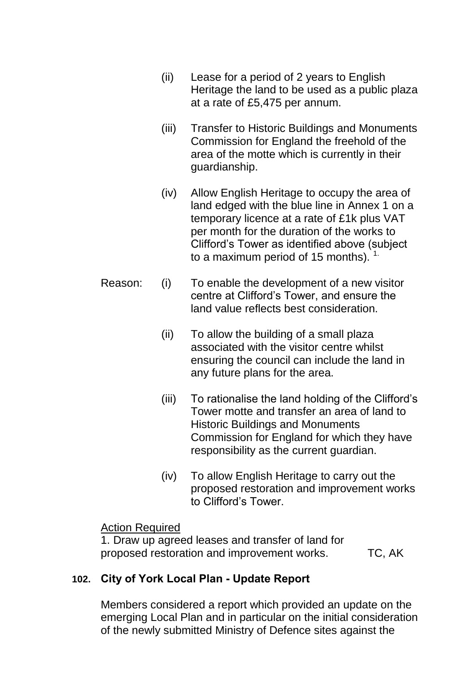- (ii) Lease for a period of 2 years to English Heritage the land to be used as a public plaza at a rate of £5,475 per annum.
- (iii) Transfer to Historic Buildings and Monuments Commission for England the freehold of the area of the motte which is currently in their guardianship.
- (iv) Allow English Heritage to occupy the area of land edged with the blue line in Annex 1 on a temporary licence at a rate of £1k plus VAT per month for the duration of the works to Clifford's Tower as identified above (subject to a maximum period of 15 months).  $1$
- Reason: (i) To enable the development of a new visitor centre at Clifford's Tower, and ensure the land value reflects best consideration.
	- (ii) To allow the building of a small plaza associated with the visitor centre whilst ensuring the council can include the land in any future plans for the area.
	- (iii) To rationalise the land holding of the Clifford's Tower motte and transfer an area of land to Historic Buildings and Monuments Commission for England for which they have responsibility as the current guardian.
	- (iv) To allow English Heritage to carry out the proposed restoration and improvement works to Clifford's Tower.

1. Draw up agreed leases and transfer of land for proposed restoration and improvement works. TC, AK

# **102. City of York Local Plan - Update Report**

Members considered a report which provided an update on the emerging Local Plan and in particular on the initial consideration of the newly submitted Ministry of Defence sites against the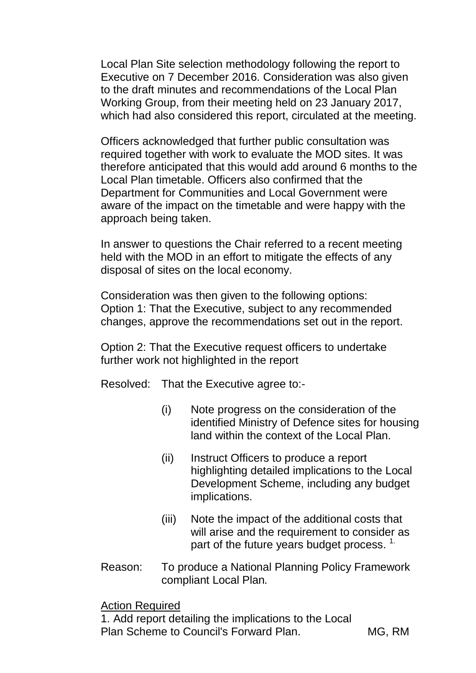Local Plan Site selection methodology following the report to Executive on 7 December 2016. Consideration was also given to the draft minutes and recommendations of the Local Plan Working Group, from their meeting held on 23 January 2017, which had also considered this report, circulated at the meeting.

Officers acknowledged that further public consultation was required together with work to evaluate the MOD sites. It was therefore anticipated that this would add around 6 months to the Local Plan timetable. Officers also confirmed that the Department for Communities and Local Government were aware of the impact on the timetable and were happy with the approach being taken.

In answer to questions the Chair referred to a recent meeting held with the MOD in an effort to mitigate the effects of any disposal of sites on the local economy.

Consideration was then given to the following options: Option 1: That the Executive, subject to any recommended changes, approve the recommendations set out in the report.

Option 2: That the Executive request officers to undertake further work not highlighted in the report

Resolved: That the Executive agree to:-

- (i) Note progress on the consideration of the identified Ministry of Defence sites for housing land within the context of the Local Plan.
- (ii) Instruct Officers to produce a report highlighting detailed implications to the Local Development Scheme, including any budget implications.
- (iii) Note the impact of the additional costs that will arise and the requirement to consider as part of the future years budget process.  $1$ .
- Reason: To produce a National Planning Policy Framework compliant Local Plan*.*

Action Required

1. Add report detailing the implications to the Local Plan Scheme to Council's Forward Plan. MG, RM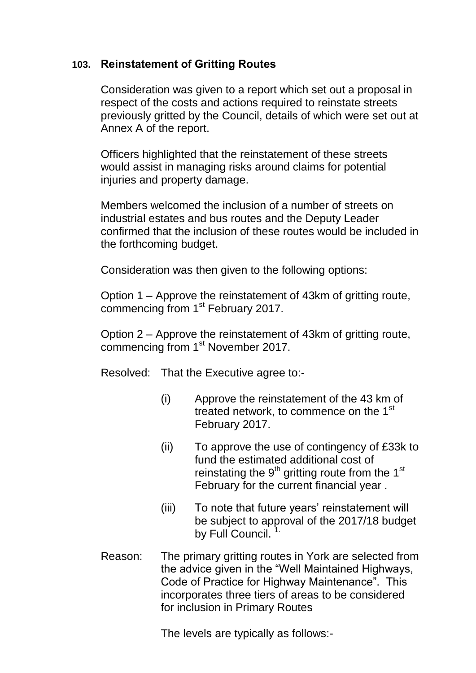# **103. Reinstatement of Gritting Routes**

Consideration was given to a report which set out a proposal in respect of the costs and actions required to reinstate streets previously gritted by the Council, details of which were set out at Annex A of the report.

Officers highlighted that the reinstatement of these streets would assist in managing risks around claims for potential injuries and property damage.

Members welcomed the inclusion of a number of streets on industrial estates and bus routes and the Deputy Leader confirmed that the inclusion of these routes would be included in the forthcoming budget.

Consideration was then given to the following options:

Option 1 – Approve the reinstatement of 43km of gritting route, commencing from 1<sup>st</sup> February 2017.

Option 2 – Approve the reinstatement of 43km of gritting route, commencing from 1st November 2017.

Resolved: That the Executive agree to:-

- (i) Approve the reinstatement of the 43 km of treated network, to commence on the 1<sup>st</sup> February 2017.
- (ii) To approve the use of contingency of £33k to fund the estimated additional cost of reinstating the  $9<sup>th</sup>$  gritting route from the 1<sup>st</sup> February for the current financial year .
- (iii) To note that future years' reinstatement will be subject to approval of the 2017/18 budget by Full Council.
- Reason: The primary gritting routes in York are selected from the advice given in the "Well Maintained Highways, Code of Practice for Highway Maintenance". This incorporates three tiers of areas to be considered for inclusion in Primary Routes

The levels are typically as follows:-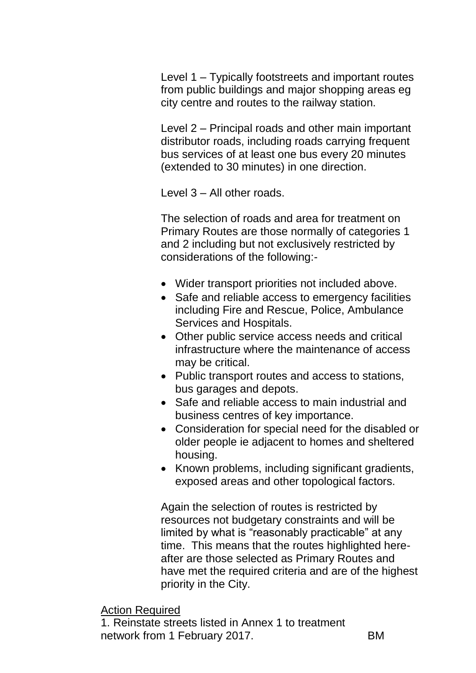Level 1 – Typically footstreets and important routes from public buildings and major shopping areas eg city centre and routes to the railway station.

Level 2 – Principal roads and other main important distributor roads, including roads carrying frequent bus services of at least one bus every 20 minutes (extended to 30 minutes) in one direction.

Level 3 – All other roads.

The selection of roads and area for treatment on Primary Routes are those normally of categories 1 and 2 including but not exclusively restricted by considerations of the following:-

- Wider transport priorities not included above.
- Safe and reliable access to emergency facilities including Fire and Rescue, Police, Ambulance Services and Hospitals.
- Other public service access needs and critical infrastructure where the maintenance of access may be critical.
- Public transport routes and access to stations, bus garages and depots.
- Safe and reliable access to main industrial and business centres of key importance.
- Consideration for special need for the disabled or older people ie adjacent to homes and sheltered housing.
- Known problems, including significant gradients, exposed areas and other topological factors.

Again the selection of routes is restricted by resources not budgetary constraints and will be limited by what is "reasonably practicable" at any time. This means that the routes highlighted hereafter are those selected as Primary Routes and have met the required criteria and are of the highest priority in the City.

# Action Required

1. Reinstate streets listed in Annex 1 to treatment network from 1 February 2017.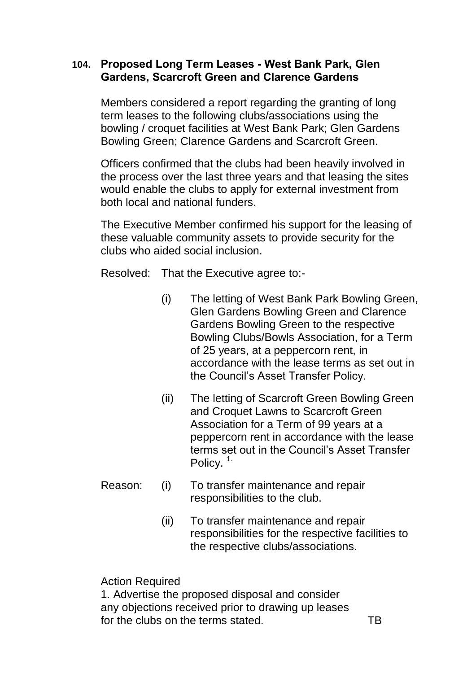## **104. Proposed Long Term Leases - West Bank Park, Glen Gardens, Scarcroft Green and Clarence Gardens**

Members considered a report regarding the granting of long term leases to the following clubs/associations using the bowling / croquet facilities at West Bank Park; Glen Gardens Bowling Green; Clarence Gardens and Scarcroft Green.

Officers confirmed that the clubs had been heavily involved in the process over the last three years and that leasing the sites would enable the clubs to apply for external investment from both local and national funders.

The Executive Member confirmed his support for the leasing of these valuable community assets to provide security for the clubs who aided social inclusion.

Resolved: That the Executive agree to:-

- (i) The letting of West Bank Park Bowling Green, Glen Gardens Bowling Green and Clarence Gardens Bowling Green to the respective Bowling Clubs/Bowls Association, for a Term of 25 years, at a peppercorn rent, in accordance with the lease terms as set out in the Council's Asset Transfer Policy.
- (ii) The letting of Scarcroft Green Bowling Green and Croquet Lawns to Scarcroft Green Association for a Term of 99 years at a peppercorn rent in accordance with the lease terms set out in the Council's Asset Transfer Policy.<sup>1.</sup>
- Reason: (i) To transfer maintenance and repair responsibilities to the club.
	- (ii) To transfer maintenance and repair responsibilities for the respective facilities to the respective clubs/associations.

Action Required

1. Advertise the proposed disposal and consider any objections received prior to drawing up leases for the clubs on the terms stated. The TB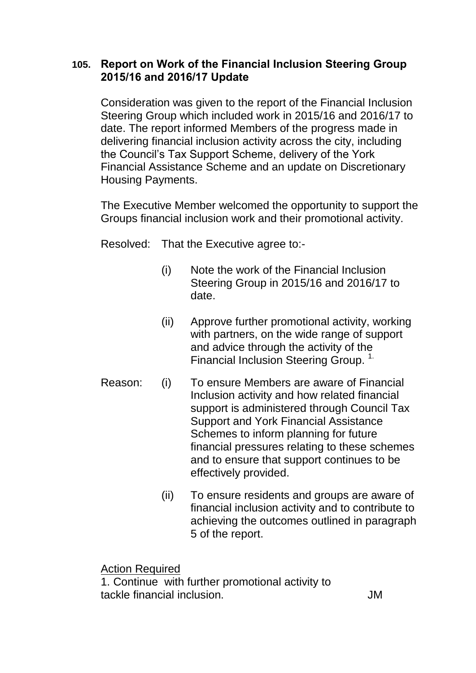# **105. Report on Work of the Financial Inclusion Steering Group 2015/16 and 2016/17 Update**

Consideration was given to the report of the Financial Inclusion Steering Group which included work in 2015/16 and 2016/17 to date. The report informed Members of the progress made in delivering financial inclusion activity across the city, including the Council's Tax Support Scheme, delivery of the York Financial Assistance Scheme and an update on Discretionary Housing Payments.

The Executive Member welcomed the opportunity to support the Groups financial inclusion work and their promotional activity.

Resolved: That the Executive agree to:-

- (i) Note the work of the Financial Inclusion Steering Group in 2015/16 and 2016/17 to date.
- (ii) Approve further promotional activity, working with partners, on the wide range of support and advice through the activity of the Financial Inclusion Steering Group.<sup>1.</sup>
- Reason: (i) To ensure Members are aware of Financial Inclusion activity and how related financial support is administered through Council Tax Support and York Financial Assistance Schemes to inform planning for future financial pressures relating to these schemes and to ensure that support continues to be effectively provided.
	- (ii) To ensure residents and groups are aware of financial inclusion activity and to contribute to achieving the outcomes outlined in paragraph 5 of the report.

Action Required

1. Continue with further promotional activity to tackle financial inclusion. JM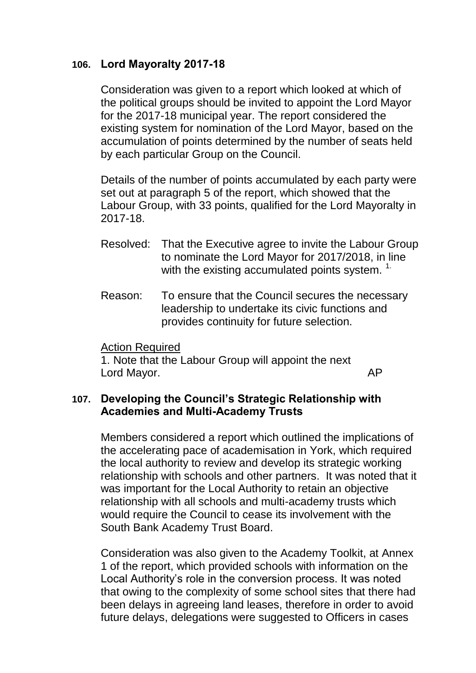### **106. Lord Mayoralty 2017-18**

Consideration was given to a report which looked at which of the political groups should be invited to appoint the Lord Mayor for the 2017-18 municipal year. The report considered the existing system for nomination of the Lord Mayor, based on the accumulation of points determined by the number of seats held by each particular Group on the Council.

Details of the number of points accumulated by each party were set out at paragraph 5 of the report, which showed that the Labour Group, with 33 points, qualified for the Lord Mayoralty in 2017-18.

- Resolved: That the Executive agree to invite the Labour Group to nominate the Lord Mayor for 2017/2018, in line with the existing accumulated points system.<sup>1.</sup>
- Reason: To ensure that the Council secures the necessary leadership to undertake its civic functions and provides continuity for future selection.

#### Action Required

1. Note that the Labour Group will appoint the next Lord Mayor. And Mayor and Mayor and Mayor and Mayor and Mayor and Mayor and Mayor and Mayor and Mayor and Mayo

### **107. Developing the Council's Strategic Relationship with Academies and Multi-Academy Trusts**

Members considered a report which outlined the implications of the accelerating pace of academisation in York, which required the local authority to review and develop its strategic working relationship with schools and other partners. It was noted that it was important for the Local Authority to retain an objective relationship with all schools and multi-academy trusts which would require the Council to cease its involvement with the South Bank Academy Trust Board.

Consideration was also given to the Academy Toolkit, at Annex 1 of the report, which provided schools with information on the Local Authority's role in the conversion process. It was noted that owing to the complexity of some school sites that there had been delays in agreeing land leases, therefore in order to avoid future delays, delegations were suggested to Officers in cases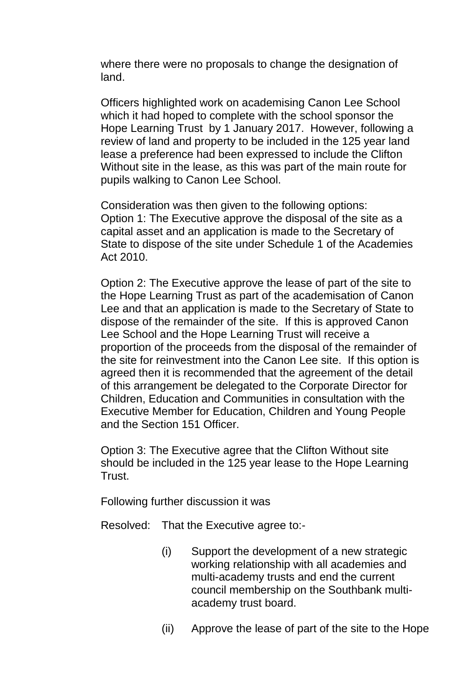where there were no proposals to change the designation of land.

Officers highlighted work on academising Canon Lee School which it had hoped to complete with the school sponsor the Hope Learning Trust by 1 January 2017. However, following a review of land and property to be included in the 125 year land lease a preference had been expressed to include the Clifton Without site in the lease, as this was part of the main route for pupils walking to Canon Lee School.

Consideration was then given to the following options: Option 1: The Executive approve the disposal of the site as a capital asset and an application is made to the Secretary of State to dispose of the site under Schedule 1 of the Academies Act 2010.

Option 2: The Executive approve the lease of part of the site to the Hope Learning Trust as part of the academisation of Canon Lee and that an application is made to the Secretary of State to dispose of the remainder of the site. If this is approved Canon Lee School and the Hope Learning Trust will receive a proportion of the proceeds from the disposal of the remainder of the site for reinvestment into the Canon Lee site. If this option is agreed then it is recommended that the agreement of the detail of this arrangement be delegated to the Corporate Director for Children, Education and Communities in consultation with the Executive Member for Education, Children and Young People and the Section 151 Officer.

Option 3: The Executive agree that the Clifton Without site should be included in the 125 year lease to the Hope Learning Trust.

Following further discussion it was

Resolved: That the Executive agree to:-

- (i) Support the development of a new strategic working relationship with all academies and multi-academy trusts and end the current council membership on the Southbank multiacademy trust board.
- (ii) Approve the lease of part of the site to the Hope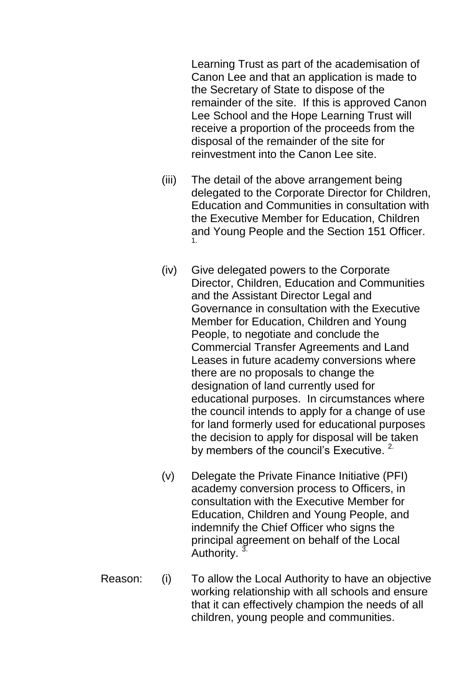Learning Trust as part of the academisation of Canon Lee and that an application is made to the Secretary of State to dispose of the remainder of the site. If this is approved Canon Lee School and the Hope Learning Trust will receive a proportion of the proceeds from the disposal of the remainder of the site for reinvestment into the Canon Lee site.

- (iii) The detail of the above arrangement being delegated to the Corporate Director for Children, Education and Communities in consultation with the Executive Member for Education, Children and Young People and the Section 151 Officer. 1.
- (iv) Give delegated powers to the Corporate Director, Children, Education and Communities and the Assistant Director Legal and Governance in consultation with the Executive Member for Education, Children and Young People, to negotiate and conclude the Commercial Transfer Agreements and Land Leases in future academy conversions where there are no proposals to change the designation of land currently used for educational purposes. In circumstances where the council intends to apply for a change of use for land formerly used for educational purposes the decision to apply for disposal will be taken by members of the council's Executive. <sup>2.</sup>
- (v) Delegate the Private Finance Initiative (PFI) academy conversion process to Officers, in consultation with the Executive Member for Education, Children and Young People, and indemnify the Chief Officer who signs the principal agreement on behalf of the Local Authority.<sup>3.</sup>
- Reason: (i) To allow the Local Authority to have an objective working relationship with all schools and ensure that it can effectively champion the needs of all children, young people and communities.